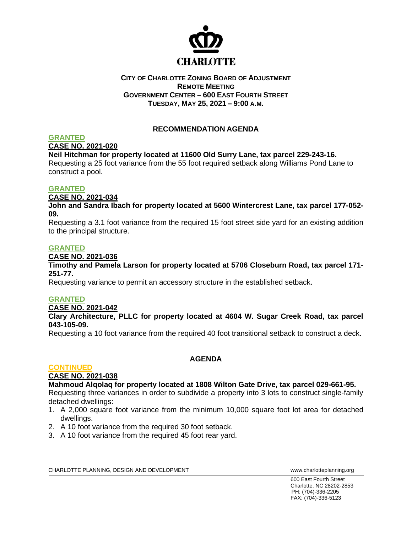

## **CITY OF CHARLOTTE ZONING BOARD OF ADJUSTMENT REMOTE MEETING GOVERNMENT CENTER – 600 EAST FOURTH STREET TUESDAY, MAY 25, 2021 – 9:00 A.M.**

## **RECOMMENDATION AGENDA**

#### **GRANTED CASE NO. 2021-020**

## **Neil Hitchman for property located at 11600 Old Surry Lane, tax parcel 229-243-16.**

Requesting a 25 foot variance from the 55 foot required setback along Williams Pond Lane to construct a pool.

## **GRANTED**

**CASE NO. 2021-034**

**John and Sandra Ibach for property located at 5600 Wintercrest Lane, tax parcel 177-052- 09.**

Requesting a 3.1 foot variance from the required 15 foot street side yard for an existing addition to the principal structure.

## **GRANTED**

## **CASE NO. 2021-036**

#### **Timothy and Pamela Larson for property located at 5706 Closeburn Road, tax parcel 171- 251-77.**

Requesting variance to permit an accessory structure in the established setback.

## **GRANTED**

#### **CASE NO. 2021-042**

**Clary Architecture, PLLC for property located at 4604 W. Sugar Creek Road, tax parcel 043-105-09.**

Requesting a 10 foot variance from the required 40 foot transitional setback to construct a deck.

## **CONTINUED**

## **AGENDA**

# **CASE NO. 2021-038**

## **Mahmoud Alqolaq for property located at 1808 Wilton Gate Drive, tax parcel 029-661-95.**

Requesting three variances in order to subdivide a property into 3 lots to construct single-family detached dwellings:

- 1. A 2,000 square foot variance from the minimum 10,000 square foot lot area for detached dwellings.
- 2. A 10 foot variance from the required 30 foot setback.
- 3. A 10 foot variance from the required 45 foot rear yard.

CHARLOTTE PLANNING, DESIGN AND DEVELOPMENT WWW.CHARLOTTE WWW.charlotteplanning.org

600 East Fourth Street Charlotte, NC 28202-2853 PH: (704)-336-2205 FAX: (704)-336-5123